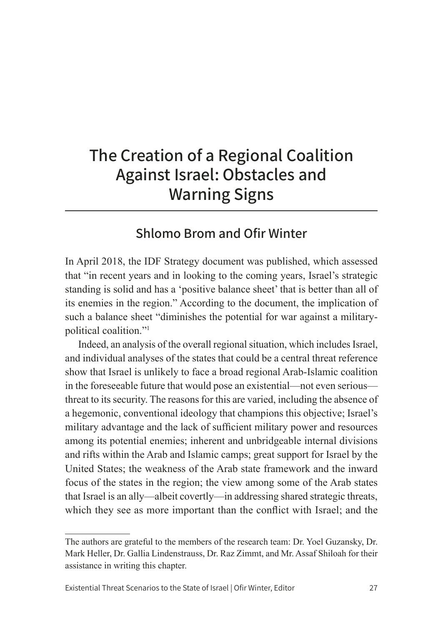# **The Creation of a Regional Coalition Against Israel: Obstacles and Warning Signs**

# **Shlomo Brom and Ofir Winter**

In April 2018, the IDF Strategy document was published, which assessed that "in recent years and in looking to the coming years, Israel's strategic standing is solid and has a 'positive balance sheet' that is better than all of its enemies in the region." According to the document, the implication of such a balance sheet "diminishes the potential for war against a militarypolitical coalition."1

Indeed, an analysis of the overall regional situation, which includes Israel, and individual analyses of the states that could be a central threat reference show that Israel is unlikely to face a broad regional Arab-Islamic coalition in the foreseeable future that would pose an existential—not even serious threat to its security. The reasons for this are varied, including the absence of a hegemonic, conventional ideology that champions this objective; Israel's military advantage and the lack of sufficient military power and resources among its potential enemies; inherent and unbridgeable internal divisions and rifts within the Arab and Islamic camps; great support for Israel by the United States; the weakness of the Arab state framework and the inward focus of the states in the region; the view among some of the Arab states that Israel is an ally—albeit covertly—in addressing shared strategic threats, which they see as more important than the conflict with Israel; and the

The authors are grateful to the members of the research team: Dr. Yoel Guzansky, Dr. Mark Heller, Dr. Gallia Lindenstrauss, Dr. Raz Zimmt, and Mr. Assaf Shiloah for their assistance in writing this chapter.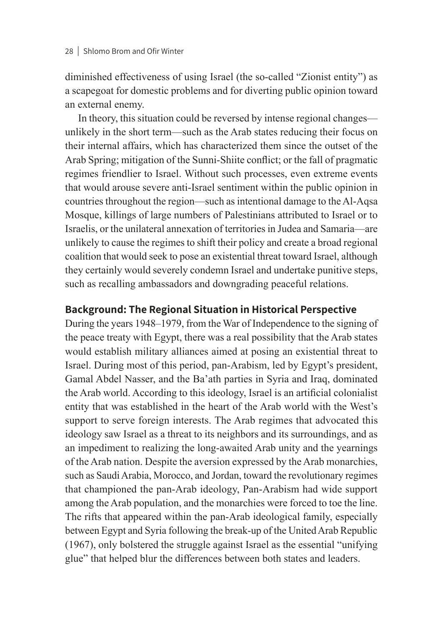diminished effectiveness of using Israel (the so-called "Zionist entity") as a scapegoat for domestic problems and for diverting public opinion toward an external enemy.

In theory, this situation could be reversed by intense regional changes unlikely in the short term—such as the Arab states reducing their focus on their internal affairs, which has characterized them since the outset of the Arab Spring; mitigation of the Sunni-Shiite conflict; or the fall of pragmatic regimes friendlier to Israel. Without such processes, even extreme events that would arouse severe anti-Israel sentiment within the public opinion in countries throughout the region—such as intentional damage to the Al-Aqsa Mosque, killings of large numbers of Palestinians attributed to Israel or to Israelis, or the unilateral annexation of territories in Judea and Samaria—are unlikely to cause the regimes to shift their policy and create a broad regional coalition that would seek to pose an existential threat toward Israel, although they certainly would severely condemn Israel and undertake punitive steps, such as recalling ambassadors and downgrading peaceful relations.

# **Background: The Regional Situation in Historical Perspective**

During the years 1948–1979, from the War of Independence to the signing of the peace treaty with Egypt, there was a real possibility that the Arab states would establish military alliances aimed at posing an existential threat to Israel. During most of this period, pan-Arabism, led by Egypt's president, Gamal Abdel Nasser, and the Ba'ath parties in Syria and Iraq, dominated the Arab world. According to this ideology, Israel is an artificial colonialist entity that was established in the heart of the Arab world with the West's support to serve foreign interests. The Arab regimes that advocated this ideology saw Israel as a threat to its neighbors and its surroundings, and as an impediment to realizing the long-awaited Arab unity and the yearnings of the Arab nation. Despite the aversion expressed by the Arab monarchies, such as Saudi Arabia, Morocco, and Jordan, toward the revolutionary regimes that championed the pan-Arab ideology, Pan-Arabism had wide support among the Arab population, and the monarchies were forced to toe the line. The rifts that appeared within the pan-Arab ideological family, especially between Egypt and Syria following the break-up of the United Arab Republic (1967), only bolstered the struggle against Israel as the essential "unifying glue" that helped blur the differences between both states and leaders.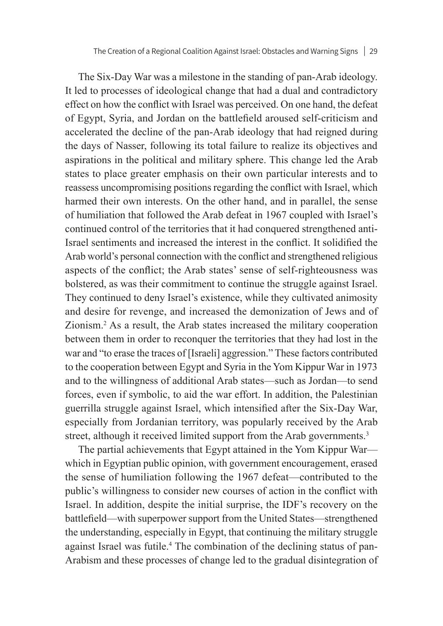The Six-Day War was a milestone in the standing of pan-Arab ideology. It led to processes of ideological change that had a dual and contradictory effect on how the conflict with Israel was perceived. On one hand, the defeat of Egypt, Syria, and Jordan on the battlefield aroused self-criticism and accelerated the decline of the pan-Arab ideology that had reigned during the days of Nasser, following its total failure to realize its objectives and aspirations in the political and military sphere. This change led the Arab states to place greater emphasis on their own particular interests and to reassess uncompromising positions regarding the conflict with Israel, which harmed their own interests. On the other hand, and in parallel, the sense of humiliation that followed the Arab defeat in 1967 coupled with Israel's continued control of the territories that it had conquered strengthened anti-Israel sentiments and increased the interest in the conflict. It solidified the Arab world's personal connection with the conflict and strengthened religious aspects of the conflict; the Arab states' sense of self-righteousness was bolstered, as was their commitment to continue the struggle against Israel. They continued to deny Israel's existence, while they cultivated animosity and desire for revenge, and increased the demonization of Jews and of Zionism.2 As a result, the Arab states increased the military cooperation between them in order to reconquer the territories that they had lost in the war and "to erase the traces of [Israeli] aggression." These factors contributed to the cooperation between Egypt and Syria in the Yom Kippur War in 1973 and to the willingness of additional Arab states—such as Jordan—to send forces, even if symbolic, to aid the war effort. In addition, the Palestinian guerrilla struggle against Israel, which intensified after the Six-Day War, especially from Jordanian territory, was popularly received by the Arab street, although it received limited support from the Arab governments.<sup>3</sup>

The partial achievements that Egypt attained in the Yom Kippur War which in Egyptian public opinion, with government encouragement, erased the sense of humiliation following the 1967 defeat—contributed to the public's willingness to consider new courses of action in the conflict with Israel. In addition, despite the initial surprise, the IDF's recovery on the battlefield—with superpower support from the United States—strengthened the understanding, especially in Egypt, that continuing the military struggle against Israel was futile.<sup>4</sup> The combination of the declining status of pan-Arabism and these processes of change led to the gradual disintegration of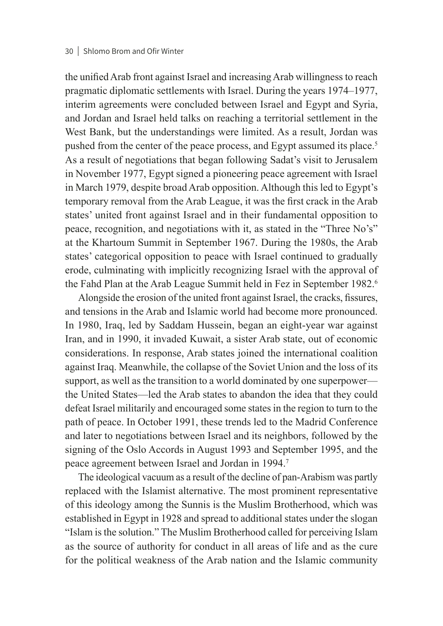#### 30 Shlomo Brom and Ofir Winter

the unified Arab front against Israel and increasing Arab willingness to reach pragmatic diplomatic settlements with Israel. During the years 1974–1977, interim agreements were concluded between Israel and Egypt and Syria, and Jordan and Israel held talks on reaching a territorial settlement in the West Bank, but the understandings were limited. As a result, Jordan was pushed from the center of the peace process, and Egypt assumed its place.<sup>5</sup> As a result of negotiations that began following Sadat's visit to Jerusalem in November 1977, Egypt signed a pioneering peace agreement with Israel in March 1979, despite broad Arab opposition. Although this led to Egypt's temporary removal from the Arab League, it was the first crack in the Arab states' united front against Israel and in their fundamental opposition to peace, recognition, and negotiations with it, as stated in the "Three No's" at the Khartoum Summit in September 1967. During the 1980s, the Arab states' categorical opposition to peace with Israel continued to gradually erode, culminating with implicitly recognizing Israel with the approval of the Fahd Plan at the Arab League Summit held in Fez in September 1982.<sup>6</sup>

Alongside the erosion of the united front against Israel, the cracks, fissures, and tensions in the Arab and Islamic world had become more pronounced. In 1980, Iraq, led by Saddam Hussein, began an eight-year war against Iran, and in 1990, it invaded Kuwait, a sister Arab state, out of economic considerations. In response, Arab states joined the international coalition against Iraq. Meanwhile, the collapse of the Soviet Union and the loss of its support, as well as the transition to a world dominated by one superpower the United States—led the Arab states to abandon the idea that they could defeat Israel militarily and encouraged some states in the region to turn to the path of peace. In October 1991, these trends led to the Madrid Conference and later to negotiations between Israel and its neighbors, followed by the signing of the Oslo Accords in August 1993 and September 1995, and the peace agreement between Israel and Jordan in 1994.7

The ideological vacuum as a result of the decline of pan-Arabism was partly replaced with the Islamist alternative. The most prominent representative of this ideology among the Sunnis is the Muslim Brotherhood, which was established in Egypt in 1928 and spread to additional states under the slogan "Islam is the solution." The Muslim Brotherhood called for perceiving Islam as the source of authority for conduct in all areas of life and as the cure for the political weakness of the Arab nation and the Islamic community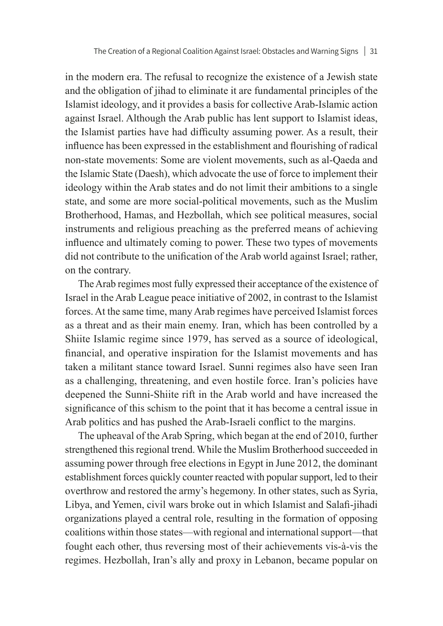in the modern era. The refusal to recognize the existence of a Jewish state and the obligation of jihad to eliminate it are fundamental principles of the Islamist ideology, and it provides a basis for collective Arab-Islamic action against Israel. Although the Arab public has lent support to Islamist ideas, the Islamist parties have had difficulty assuming power. As a result, their influence has been expressed in the establishment and flourishing of radical non-state movements: Some are violent movements, such as al-Qaeda and the Islamic State (Daesh), which advocate the use of force to implement their ideology within the Arab states and do not limit their ambitions to a single state, and some are more social-political movements, such as the Muslim Brotherhood, Hamas, and Hezbollah, which see political measures, social instruments and religious preaching as the preferred means of achieving influence and ultimately coming to power. These two types of movements did not contribute to the unification of the Arab world against Israel; rather, on the contrary.

The Arab regimes most fully expressed their acceptance of the existence of Israel in the Arab League peace initiative of 2002, in contrast to the Islamist forces. At the same time, many Arab regimes have perceived Islamist forces as a threat and as their main enemy. Iran, which has been controlled by a Shiite Islamic regime since 1979, has served as a source of ideological, financial, and operative inspiration for the Islamist movements and has taken a militant stance toward Israel. Sunni regimes also have seen Iran as a challenging, threatening, and even hostile force. Iran's policies have deepened the Sunni-Shiite rift in the Arab world and have increased the significance of this schism to the point that it has become a central issue in Arab politics and has pushed the Arab-Israeli conflict to the margins.

The upheaval of the Arab Spring, which began at the end of 2010, further strengthened this regional trend. While the Muslim Brotherhood succeeded in assuming power through free elections in Egypt in June 2012, the dominant establishment forces quickly counter reacted with popular support, led to their overthrow and restored the army's hegemony. In other states, such as Syria, Libya, and Yemen, civil wars broke out in which Islamist and Salafi-jihadi organizations played a central role, resulting in the formation of opposing coalitions within those states—with regional and international support—that fought each other, thus reversing most of their achievements vis-à-vis the regimes. Hezbollah, Iran's ally and proxy in Lebanon, became popular on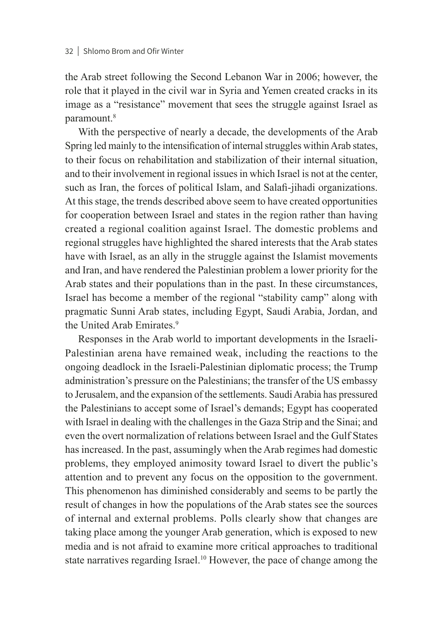the Arab street following the Second Lebanon War in 2006; however, the role that it played in the civil war in Syria and Yemen created cracks in its image as a "resistance" movement that sees the struggle against Israel as paramount.<sup>8</sup>

With the perspective of nearly a decade, the developments of the Arab Spring led mainly to the intensification of internal struggles within Arab states, to their focus on rehabilitation and stabilization of their internal situation, and to their involvement in regional issues in which Israel is not at the center, such as Iran, the forces of political Islam, and Salafi-jihadi organizations. At this stage, the trends described above seem to have created opportunities for cooperation between Israel and states in the region rather than having created a regional coalition against Israel. The domestic problems and regional struggles have highlighted the shared interests that the Arab states have with Israel, as an ally in the struggle against the Islamist movements and Iran, and have rendered the Palestinian problem a lower priority for the Arab states and their populations than in the past. In these circumstances, Israel has become a member of the regional "stability camp" along with pragmatic Sunni Arab states, including Egypt, Saudi Arabia, Jordan, and the United Arab Emirates.<sup>9</sup>

Responses in the Arab world to important developments in the Israeli-Palestinian arena have remained weak, including the reactions to the ongoing deadlock in the Israeli-Palestinian diplomatic process; the Trump administration's pressure on the Palestinians; the transfer of the US embassy to Jerusalem, and the expansion of the settlements. Saudi Arabia has pressured the Palestinians to accept some of Israel's demands; Egypt has cooperated with Israel in dealing with the challenges in the Gaza Strip and the Sinai; and even the overt normalization of relations between Israel and the Gulf States has increased. In the past, assumingly when the Arab regimes had domestic problems, they employed animosity toward Israel to divert the public's attention and to prevent any focus on the opposition to the government. This phenomenon has diminished considerably and seems to be partly the result of changes in how the populations of the Arab states see the sources of internal and external problems. Polls clearly show that changes are taking place among the younger Arab generation, which is exposed to new media and is not afraid to examine more critical approaches to traditional state narratives regarding Israel.<sup>10</sup> However, the pace of change among the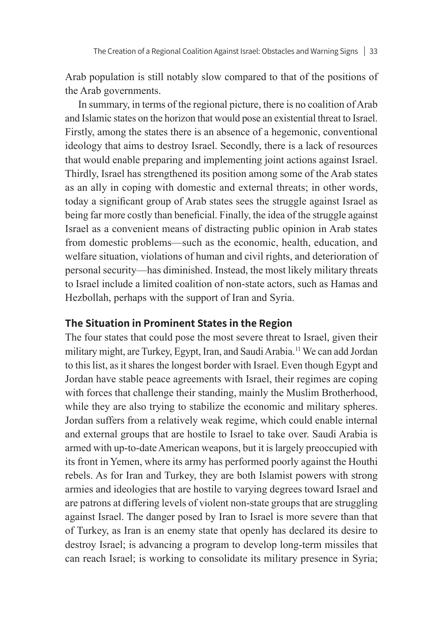Arab population is still notably slow compared to that of the positions of the Arab governments.

In summary, in terms of the regional picture, there is no coalition of Arab and Islamic states on the horizon that would pose an existential threat to Israel. Firstly, among the states there is an absence of a hegemonic, conventional ideology that aims to destroy Israel. Secondly, there is a lack of resources that would enable preparing and implementing joint actions against Israel. Thirdly, Israel has strengthened its position among some of the Arab states as an ally in coping with domestic and external threats; in other words, today a significant group of Arab states sees the struggle against Israel as being far more costly than beneficial. Finally, the idea of the struggle against Israel as a convenient means of distracting public opinion in Arab states from domestic problems—such as the economic, health, education, and welfare situation, violations of human and civil rights, and deterioration of personal security—has diminished. Instead, the most likely military threats to Israel include a limited coalition of non-state actors, such as Hamas and Hezbollah, perhaps with the support of Iran and Syria.

### **The Situation in Prominent States in the Region**

The four states that could pose the most severe threat to Israel, given their military might, are Turkey, Egypt, Iran, and Saudi Arabia.<sup>11</sup> We can add Jordan to this list, as it shares the longest border with Israel. Even though Egypt and Jordan have stable peace agreements with Israel, their regimes are coping with forces that challenge their standing, mainly the Muslim Brotherhood, while they are also trying to stabilize the economic and military spheres. Jordan suffers from a relatively weak regime, which could enable internal and external groups that are hostile to Israel to take over. Saudi Arabia is armed with up-to-date American weapons, but it is largely preoccupied with its front in Yemen, where its army has performed poorly against the Houthi rebels. As for Iran and Turkey, they are both Islamist powers with strong armies and ideologies that are hostile to varying degrees toward Israel and are patrons at differing levels of violent non-state groups that are struggling against Israel. The danger posed by Iran to Israel is more severe than that of Turkey, as Iran is an enemy state that openly has declared its desire to destroy Israel; is advancing a program to develop long-term missiles that can reach Israel; is working to consolidate its military presence in Syria;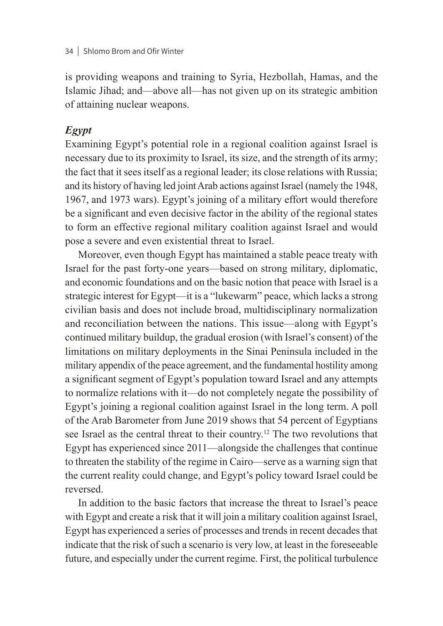is providing weapons and training to Syria, Hezbollah, Hamas, and the Islamic Jihad; and—above all—has not given up on its strategic ambition of attaining nuclear weapons.

### *Egypt*

Examining Egypt's potential role in a regional coalition against Israel is necessary due to its proximity to Israel, its size, and the strength of its army; the fact that it sees itself as a regional leader; its close relations with Russia; and its history of having led joint Arab actions against Israel (namely the 1948, 1967, and 1973 wars). Egypt's joining of a military effort would therefore be a significant and even decisive factor in the ability of the regional states to form an effective regional military coalition against Israel and would pose a severe and even existential threat to Israel.

Moreover, even though Egypt has maintained a stable peace treaty with Israel for the past forty-one years—based on strong military, diplomatic, and economic foundations and on the basic notion that peace with Israel is a strategic interest for Egypt—it is a "lukewarm" peace, which lacks a strong civilian basis and does not include broad, multidisciplinary normalization and reconciliation between the nations. This issue—along with Egypt's continued military buildup, the gradual erosion (with Israel's consent) of the limitations on military deployments in the Sinai Peninsula included in the military appendix of the peace agreement, and the fundamental hostility among a significant segment of Egypt's population toward Israel and any attempts to normalize relations with it—do not completely negate the possibility of Egypt's joining a regional coalition against Israel in the long term. A poll of the Arab Barometer from June 2019 shows that 54 percent of Egyptians see Israel as the central threat to their country.12 The two revolutions that Egypt has experienced since 2011—alongside the challenges that continue to threaten the stability of the regime in Cairo—serve as a warning sign that the current reality could change, and Egypt's policy toward Israel could be reversed.

In addition to the basic factors that increase the threat to Israel's peace with Egypt and create a risk that it will join a military coalition against Israel, Egypt has experienced a series of processes and trends in recent decades that indicate that the risk of such a scenario is very low, at least in the foreseeable future, and especially under the current regime. First, the political turbulence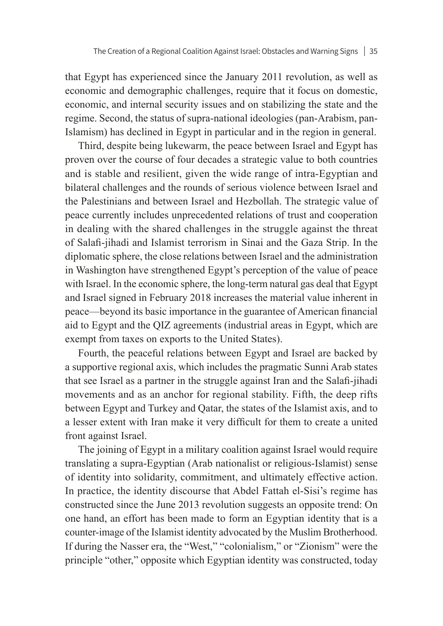that Egypt has experienced since the January 2011 revolution, as well as economic and demographic challenges, require that it focus on domestic, economic, and internal security issues and on stabilizing the state and the regime. Second, the status of supra-national ideologies (pan-Arabism, pan-Islamism) has declined in Egypt in particular and in the region in general.

Third, despite being lukewarm, the peace between Israel and Egypt has proven over the course of four decades a strategic value to both countries and is stable and resilient, given the wide range of intra-Egyptian and bilateral challenges and the rounds of serious violence between Israel and the Palestinians and between Israel and Hezbollah. The strategic value of peace currently includes unprecedented relations of trust and cooperation in dealing with the shared challenges in the struggle against the threat of Salafi-jihadi and Islamist terrorism in Sinai and the Gaza Strip. In the diplomatic sphere, the close relations between Israel and the administration in Washington have strengthened Egypt's perception of the value of peace with Israel. In the economic sphere, the long-term natural gas deal that Egypt and Israel signed in February 2018 increases the material value inherent in peace—beyond its basic importance in the guarantee of American financial aid to Egypt and the QIZ agreements (industrial areas in Egypt, which are exempt from taxes on exports to the United States).

Fourth, the peaceful relations between Egypt and Israel are backed by a supportive regional axis, which includes the pragmatic Sunni Arab states that see Israel as a partner in the struggle against Iran and the Salafi-jihadi movements and as an anchor for regional stability. Fifth, the deep rifts between Egypt and Turkey and Qatar, the states of the Islamist axis, and to a lesser extent with Iran make it very difficult for them to create a united front against Israel.

The joining of Egypt in a military coalition against Israel would require translating a supra-Egyptian (Arab nationalist or religious-Islamist) sense of identity into solidarity, commitment, and ultimately effective action. In practice, the identity discourse that Abdel Fattah el-Sisi's regime has constructed since the June 2013 revolution suggests an opposite trend: On one hand, an effort has been made to form an Egyptian identity that is a counter-image of the Islamist identity advocated by the Muslim Brotherhood. If during the Nasser era, the "West," "colonialism," or "Zionism" were the principle "other," opposite which Egyptian identity was constructed, today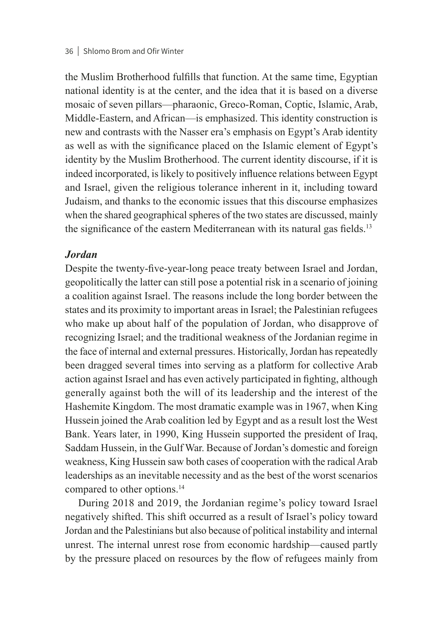the Muslim Brotherhood fulfills that function. At the same time, Egyptian national identity is at the center, and the idea that it is based on a diverse mosaic of seven pillars—pharaonic, Greco-Roman, Coptic, Islamic, Arab, Middle-Eastern, and African—is emphasized. This identity construction is new and contrasts with the Nasser era's emphasis on Egypt's Arab identity as well as with the significance placed on the Islamic element of Egypt's identity by the Muslim Brotherhood. The current identity discourse, if it is indeed incorporated, is likely to positively influence relations between Egypt and Israel, given the religious tolerance inherent in it, including toward Judaism, and thanks to the economic issues that this discourse emphasizes when the shared geographical spheres of the two states are discussed, mainly the significance of the eastern Mediterranean with its natural gas fields.<sup>13</sup>

#### *Jordan*

Despite the twenty-five-year-long peace treaty between Israel and Jordan, geopolitically the latter can still pose a potential risk in a scenario of joining a coalition against Israel. The reasons include the long border between the states and its proximity to important areas in Israel; the Palestinian refugees who make up about half of the population of Jordan, who disapprove of recognizing Israel; and the traditional weakness of the Jordanian regime in the face of internal and external pressures. Historically, Jordan has repeatedly been dragged several times into serving as a platform for collective Arab action against Israel and has even actively participated in fighting, although generally against both the will of its leadership and the interest of the Hashemite Kingdom. The most dramatic example was in 1967, when King Hussein joined the Arab coalition led by Egypt and as a result lost the West Bank. Years later, in 1990, King Hussein supported the president of Iraq, Saddam Hussein, in the Gulf War. Because of Jordan's domestic and foreign weakness, King Hussein saw both cases of cooperation with the radical Arab leaderships as an inevitable necessity and as the best of the worst scenarios compared to other options.<sup>14</sup>

During 2018 and 2019, the Jordanian regime's policy toward Israel negatively shifted. This shift occurred as a result of Israel's policy toward Jordan and the Palestinians but also because of political instability and internal unrest. The internal unrest rose from economic hardship—caused partly by the pressure placed on resources by the flow of refugees mainly from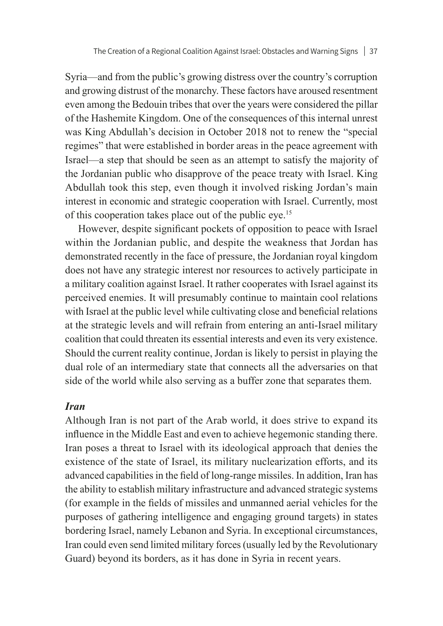Syria—and from the public's growing distress over the country's corruption and growing distrust of the monarchy. These factors have aroused resentment even among the Bedouin tribes that over the years were considered the pillar of the Hashemite Kingdom. One of the consequences of this internal unrest was King Abdullah's decision in October 2018 not to renew the "special regimes" that were established in border areas in the peace agreement with Israel—a step that should be seen as an attempt to satisfy the majority of the Jordanian public who disapprove of the peace treaty with Israel. King Abdullah took this step, even though it involved risking Jordan's main interest in economic and strategic cooperation with Israel. Currently, most of this cooperation takes place out of the public eye.15

However, despite significant pockets of opposition to peace with Israel within the Jordanian public, and despite the weakness that Jordan has demonstrated recently in the face of pressure, the Jordanian royal kingdom does not have any strategic interest nor resources to actively participate in a military coalition against Israel. It rather cooperates with Israel against its perceived enemies. It will presumably continue to maintain cool relations with Israel at the public level while cultivating close and beneficial relations at the strategic levels and will refrain from entering an anti-Israel military coalition that could threaten its essential interests and even its very existence. Should the current reality continue, Jordan is likely to persist in playing the dual role of an intermediary state that connects all the adversaries on that side of the world while also serving as a buffer zone that separates them.

### *Iran*

Although Iran is not part of the Arab world, it does strive to expand its influence in the Middle East and even to achieve hegemonic standing there. Iran poses a threat to Israel with its ideological approach that denies the existence of the state of Israel, its military nuclearization efforts, and its advanced capabilities in the field of long-range missiles. In addition, Iran has the ability to establish military infrastructure and advanced strategic systems (for example in the fields of missiles and unmanned aerial vehicles for the purposes of gathering intelligence and engaging ground targets) in states bordering Israel, namely Lebanon and Syria. In exceptional circumstances, Iran could even send limited military forces (usually led by the Revolutionary Guard) beyond its borders, as it has done in Syria in recent years.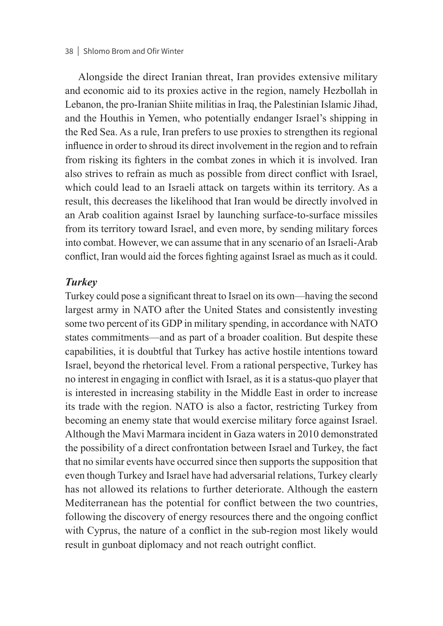#### 38 | Shlomo Brom and Ofir Winter

Alongside the direct Iranian threat, Iran provides extensive military and economic aid to its proxies active in the region, namely Hezbollah in Lebanon, the pro-Iranian Shiite militias in Iraq, the Palestinian Islamic Jihad, and the Houthis in Yemen, who potentially endanger Israel's shipping in the Red Sea. As a rule, Iran prefers to use proxies to strengthen its regional influence in order to shroud its direct involvement in the region and to refrain from risking its fighters in the combat zones in which it is involved. Iran also strives to refrain as much as possible from direct conflict with Israel, which could lead to an Israeli attack on targets within its territory. As a result, this decreases the likelihood that Iran would be directly involved in an Arab coalition against Israel by launching surface-to-surface missiles from its territory toward Israel, and even more, by sending military forces into combat. However, we can assume that in any scenario of an Israeli-Arab conflict, Iran would aid the forces fighting against Israel as much as it could.

#### *Turkey*

Turkey could pose a significant threat to Israel on its own—having the second largest army in NATO after the United States and consistently investing some two percent of its GDP in military spending, in accordance with NATO states commitments—and as part of a broader coalition. But despite these capabilities, it is doubtful that Turkey has active hostile intentions toward Israel, beyond the rhetorical level. From a rational perspective, Turkey has no interest in engaging in conflict with Israel, as it is a status-quo player that is interested in increasing stability in the Middle East in order to increase its trade with the region. NATO is also a factor, restricting Turkey from becoming an enemy state that would exercise military force against Israel. Although the Mavi Marmara incident in Gaza waters in 2010 demonstrated the possibility of a direct confrontation between Israel and Turkey, the fact that no similar events have occurred since then supports the supposition that even though Turkey and Israel have had adversarial relations, Turkey clearly has not allowed its relations to further deteriorate. Although the eastern Mediterranean has the potential for conflict between the two countries, following the discovery of energy resources there and the ongoing conflict with Cyprus, the nature of a conflict in the sub-region most likely would result in gunboat diplomacy and not reach outright conflict.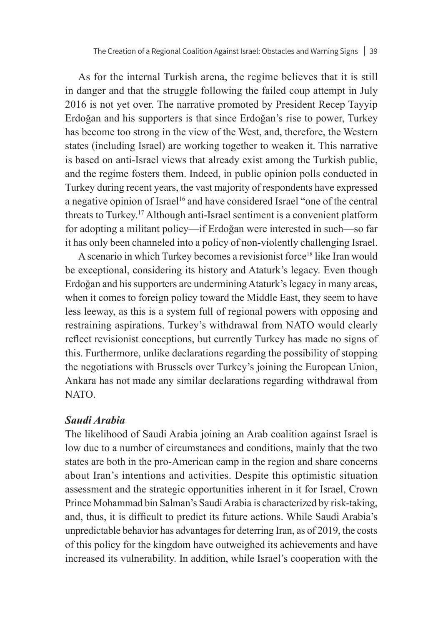As for the internal Turkish arena, the regime believes that it is still in danger and that the struggle following the failed coup attempt in July 2016 is not yet over. The narrative promoted by President Recep Tayyip Erdoğan and his supporters is that since Erdoğan's rise to power, Turkey has become too strong in the view of the West, and, therefore, the Western states (including Israel) are working together to weaken it. This narrative is based on anti-Israel views that already exist among the Turkish public, and the regime fosters them. Indeed, in public opinion polls conducted in Turkey during recent years, the vast majority of respondents have expressed a negative opinion of Israel<sup>16</sup> and have considered Israel "one of the central threats to Turkey.17 Although anti-Israel sentiment is a convenient platform for adopting a militant policy—if Erdoğan were interested in such—so far it has only been channeled into a policy of non-violently challenging Israel.

A scenario in which Turkey becomes a revisionist force<sup>18</sup> like Iran would be exceptional, considering its history and Ataturk's legacy. Even though Erdoğan and his supporters are undermining Ataturk's legacy in many areas, when it comes to foreign policy toward the Middle East, they seem to have less leeway, as this is a system full of regional powers with opposing and restraining aspirations. Turkey's withdrawal from NATO would clearly reflect revisionist conceptions, but currently Turkey has made no signs of this. Furthermore, unlike declarations regarding the possibility of stopping the negotiations with Brussels over Turkey's joining the European Union, Ankara has not made any similar declarations regarding withdrawal from NATO.

#### *Saudi Arabia*

The likelihood of Saudi Arabia joining an Arab coalition against Israel is low due to a number of circumstances and conditions, mainly that the two states are both in the pro-American camp in the region and share concerns about Iran's intentions and activities. Despite this optimistic situation assessment and the strategic opportunities inherent in it for Israel, Crown Prince Mohammad bin Salman's Saudi Arabia is characterized by risk-taking, and, thus, it is difficult to predict its future actions. While Saudi Arabia's unpredictable behavior has advantages for deterring Iran, as of 2019, the costs of this policy for the kingdom have outweighed its achievements and have increased its vulnerability. In addition, while Israel's cooperation with the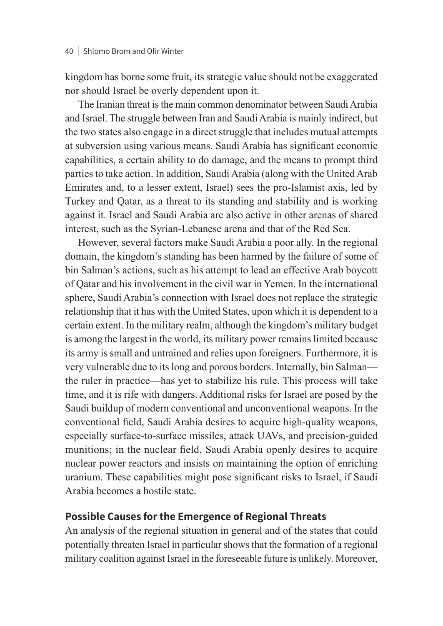kingdom has borne some fruit, its strategic value should not be exaggerated nor should Israel be overly dependent upon it.

The Iranian threat is the main common denominator between Saudi Arabia and Israel. The struggle between Iran and Saudi Arabia is mainly indirect, but the two states also engage in a direct struggle that includes mutual attempts at subversion using various means. Saudi Arabia has significant economic capabilities, a certain ability to do damage, and the means to prompt third parties to take action. In addition, Saudi Arabia (along with the United Arab Emirates and, to a lesser extent, Israel) sees the pro-Islamist axis, led by Turkey and Qatar, as a threat to its standing and stability and is working against it. Israel and Saudi Arabia are also active in other arenas of shared interest, such as the Syrian-Lebanese arena and that of the Red Sea.

However, several factors make Saudi Arabia a poor ally. In the regional domain, the kingdom's standing has been harmed by the failure of some of bin Salman's actions, such as his attempt to lead an effective Arab boycott of Qatar and his involvement in the civil war in Yemen. In the international sphere, Saudi Arabia's connection with Israel does not replace the strategic relationship that it has with the United States, upon which it is dependent to a certain extent. In the military realm, although the kingdom's military budget is among the largest in the world, its military power remains limited because its army is small and untrained and relies upon foreigners. Furthermore, it is very vulnerable due to its long and porous borders. Internally, bin Salman the ruler in practice—has yet to stabilize his rule. This process will take time, and it is rife with dangers. Additional risks for Israel are posed by the Saudi buildup of modern conventional and unconventional weapons. In the conventional field, Saudi Arabia desires to acquire high-quality weapons, especially surface-to-surface missiles, attack UAVs, and precision-guided munitions; in the nuclear field, Saudi Arabia openly desires to acquire nuclear power reactors and insists on maintaining the option of enriching uranium. These capabilities might pose significant risks to Israel, if Saudi Arabia becomes a hostile state.

### **Possible Causes for the Emergence of Regional Threats**

An analysis of the regional situation in general and of the states that could potentially threaten Israel in particular shows that the formation of a regional military coalition against Israel in the foreseeable future is unlikely. Moreover,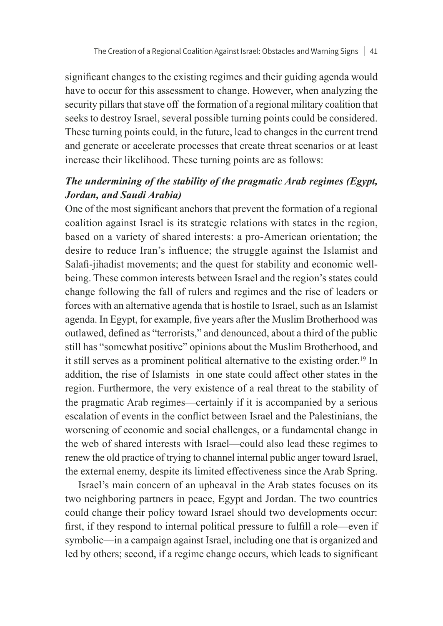significant changes to the existing regimes and their guiding agenda would have to occur for this assessment to change. However, when analyzing the security pillars that stave off the formation of a regional military coalition that seeks to destroy Israel, several possible turning points could be considered. These turning points could, in the future, lead to changes in the current trend and generate or accelerate processes that create threat scenarios or at least increase their likelihood. These turning points are as follows:

# *The undermining of the stability of the pragmatic Arab regimes (Egypt, Jordan, and Saudi Arabia)*

One of the most significant anchors that prevent the formation of a regional coalition against Israel is its strategic relations with states in the region, based on a variety of shared interests: a pro-American orientation; the desire to reduce Iran's influence; the struggle against the Islamist and Salafi-jihadist movements; and the quest for stability and economic wellbeing. These common interests between Israel and the region's states could change following the fall of rulers and regimes and the rise of leaders or forces with an alternative agenda that is hostile to Israel, such as an Islamist agenda. In Egypt, for example, five years after the Muslim Brotherhood was outlawed, defined as "terrorists," and denounced, about a third of the public still has "somewhat positive" opinions about the Muslim Brotherhood, and it still serves as a prominent political alternative to the existing order.<sup>19</sup> In addition, the rise of Islamists in one state could affect other states in the region. Furthermore, the very existence of a real threat to the stability of the pragmatic Arab regimes—certainly if it is accompanied by a serious escalation of events in the conflict between Israel and the Palestinians, the worsening of economic and social challenges, or a fundamental change in the web of shared interests with Israel—could also lead these regimes to renew the old practice of trying to channel internal public anger toward Israel, the external enemy, despite its limited effectiveness since the Arab Spring.

Israel's main concern of an upheaval in the Arab states focuses on its two neighboring partners in peace, Egypt and Jordan. The two countries could change their policy toward Israel should two developments occur: first, if they respond to internal political pressure to fulfill a role—even if symbolic—in a campaign against Israel, including one that is organized and led by others; second, if a regime change occurs, which leads to significant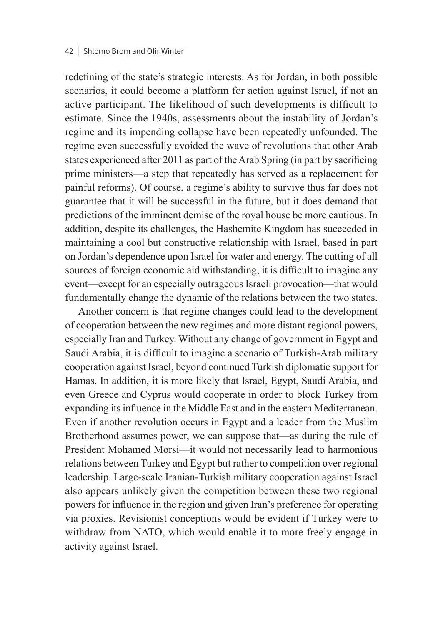#### 42 | Shlomo Brom and Ofir Winter

redefining of the state's strategic interests. As for Jordan, in both possible scenarios, it could become a platform for action against Israel, if not an active participant. The likelihood of such developments is difficult to estimate. Since the 1940s, assessments about the instability of Jordan's regime and its impending collapse have been repeatedly unfounded. The regime even successfully avoided the wave of revolutions that other Arab states experienced after 2011 as part of the Arab Spring (in part by sacrificing prime ministers—a step that repeatedly has served as a replacement for painful reforms). Of course, a regime's ability to survive thus far does not guarantee that it will be successful in the future, but it does demand that predictions of the imminent demise of the royal house be more cautious. In addition, despite its challenges, the Hashemite Kingdom has succeeded in maintaining a cool but constructive relationship with Israel, based in part on Jordan's dependence upon Israel for water and energy. The cutting of all sources of foreign economic aid withstanding, it is difficult to imagine any event—except for an especially outrageous Israeli provocation—that would fundamentally change the dynamic of the relations between the two states.

Another concern is that regime changes could lead to the development of cooperation between the new regimes and more distant regional powers, especially Iran and Turkey. Without any change of government in Egypt and Saudi Arabia, it is difficult to imagine a scenario of Turkish-Arab military cooperation against Israel, beyond continued Turkish diplomatic support for Hamas. In addition, it is more likely that Israel, Egypt, Saudi Arabia, and even Greece and Cyprus would cooperate in order to block Turkey from expanding its influence in the Middle East and in the eastern Mediterranean. Even if another revolution occurs in Egypt and a leader from the Muslim Brotherhood assumes power, we can suppose that—as during the rule of President Mohamed Morsi—it would not necessarily lead to harmonious relations between Turkey and Egypt but rather to competition over regional leadership. Large-scale Iranian-Turkish military cooperation against Israel also appears unlikely given the competition between these two regional powers for influence in the region and given Iran's preference for operating via proxies. Revisionist conceptions would be evident if Turkey were to withdraw from NATO, which would enable it to more freely engage in activity against Israel.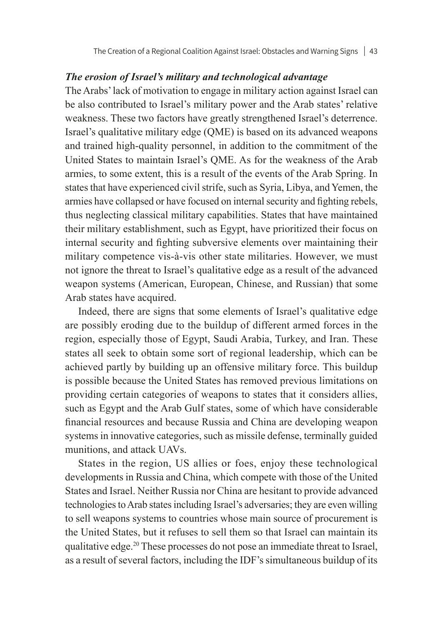#### *The erosion of Israel's military and technological advantage*

The Arabs' lack of motivation to engage in military action against Israel can be also contributed to Israel's military power and the Arab states' relative weakness. These two factors have greatly strengthened Israel's deterrence. Israel's qualitative military edge (QME) is based on its advanced weapons and trained high-quality personnel, in addition to the commitment of the United States to maintain Israel's QME. As for the weakness of the Arab armies, to some extent, this is a result of the events of the Arab Spring. In states that have experienced civil strife, such as Syria, Libya, and Yemen, the armies have collapsed or have focused on internal security and fighting rebels, thus neglecting classical military capabilities. States that have maintained their military establishment, such as Egypt, have prioritized their focus on internal security and fighting subversive elements over maintaining their military competence vis-à-vis other state militaries. However, we must not ignore the threat to Israel's qualitative edge as a result of the advanced weapon systems (American, European, Chinese, and Russian) that some Arab states have acquired.

Indeed, there are signs that some elements of Israel's qualitative edge are possibly eroding due to the buildup of different armed forces in the region, especially those of Egypt, Saudi Arabia, Turkey, and Iran. These states all seek to obtain some sort of regional leadership, which can be achieved partly by building up an offensive military force. This buildup is possible because the United States has removed previous limitations on providing certain categories of weapons to states that it considers allies, such as Egypt and the Arab Gulf states, some of which have considerable financial resources and because Russia and China are developing weapon systems in innovative categories, such as missile defense, terminally guided munitions, and attack UAVs.

States in the region, US allies or foes, enjoy these technological developments in Russia and China, which compete with those of the United States and Israel. Neither Russia nor China are hesitant to provide advanced technologies to Arab states including Israel's adversaries; they are even willing to sell weapons systems to countries whose main source of procurement is the United States, but it refuses to sell them so that Israel can maintain its qualitative edge.20 These processes do not pose an immediate threat to Israel, as a result of several factors, including the IDF's simultaneous buildup of its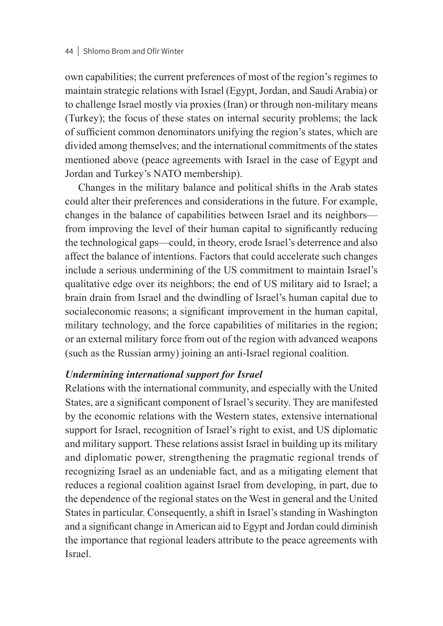own capabilities; the current preferences of most of the region's regimes to maintain strategic relations with Israel (Egypt, Jordan, and Saudi Arabia) or to challenge Israel mostly via proxies (Iran) or through non-military means (Turkey); the focus of these states on internal security problems; the lack of sufficient common denominators unifying the region's states, which are divided among themselves; and the international commitments of the states mentioned above (peace agreements with Israel in the case of Egypt and Jordan and Turkey's NATO membership).

Changes in the military balance and political shifts in the Arab states could alter their preferences and considerations in the future. For example, changes in the balance of capabilities between Israel and its neighbors from improving the level of their human capital to significantly reducing the technological gaps—could, in theory, erode Israel's deterrence and also affect the balance of intentions. Factors that could accelerate such changes include a serious undermining of the US commitment to maintain Israel's qualitative edge over its neighbors; the end of US military aid to Israel; a brain drain from Israel and the dwindling of Israel's human capital due to socialeconomic reasons; a significant improvement in the human capital, military technology, and the force capabilities of militaries in the region; or an external military force from out of the region with advanced weapons (such as the Russian army) joining an anti-Israel regional coalition.

### *Undermining international support for Israel*

Relations with the international community, and especially with the United States, are a significant component of Israel's security. They are manifested by the economic relations with the Western states, extensive international support for Israel, recognition of Israel's right to exist, and US diplomatic and military support. These relations assist Israel in building up its military and diplomatic power, strengthening the pragmatic regional trends of recognizing Israel as an undeniable fact, and as a mitigating element that reduces a regional coalition against Israel from developing, in part, due to the dependence of the regional states on the West in general and the United States in particular. Consequently, a shift in Israel's standing in Washington and a significant change in American aid to Egypt and Jordan could diminish the importance that regional leaders attribute to the peace agreements with Israel.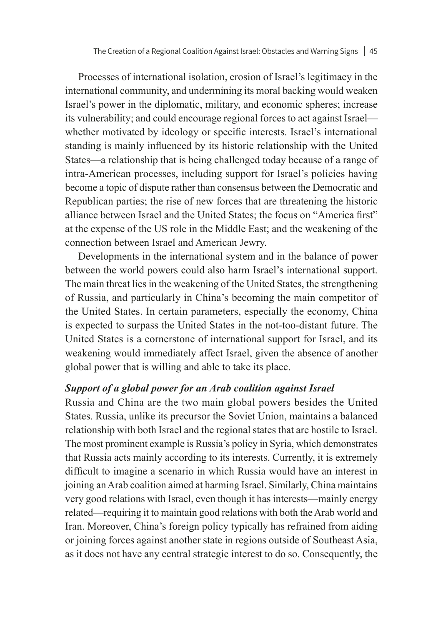Processes of international isolation, erosion of Israel's legitimacy in the international community, and undermining its moral backing would weaken Israel's power in the diplomatic, military, and economic spheres; increase its vulnerability; and could encourage regional forces to act against Israel whether motivated by ideology or specific interests. Israel's international standing is mainly influenced by its historic relationship with the United States—a relationship that is being challenged today because of a range of intra-American processes, including support for Israel's policies having become a topic of dispute rather than consensus between the Democratic and Republican parties; the rise of new forces that are threatening the historic alliance between Israel and the United States; the focus on "America first" at the expense of the US role in the Middle East; and the weakening of the connection between Israel and American Jewry.

Developments in the international system and in the balance of power between the world powers could also harm Israel's international support. The main threat lies in the weakening of the United States, the strengthening of Russia, and particularly in China's becoming the main competitor of the United States. In certain parameters, especially the economy, China is expected to surpass the United States in the not-too-distant future. The United States is a cornerstone of international support for Israel, and its weakening would immediately affect Israel, given the absence of another global power that is willing and able to take its place.

#### *Support of a global power for an Arab coalition against Israel*

Russia and China are the two main global powers besides the United States. Russia, unlike its precursor the Soviet Union, maintains a balanced relationship with both Israel and the regional states that are hostile to Israel. The most prominent example is Russia's policy in Syria, which demonstrates that Russia acts mainly according to its interests. Currently, it is extremely difficult to imagine a scenario in which Russia would have an interest in joining an Arab coalition aimed at harming Israel. Similarly, China maintains very good relations with Israel, even though it has interests—mainly energy related—requiring it to maintain good relations with both the Arab world and Iran. Moreover, China's foreign policy typically has refrained from aiding or joining forces against another state in regions outside of Southeast Asia, as it does not have any central strategic interest to do so. Consequently, the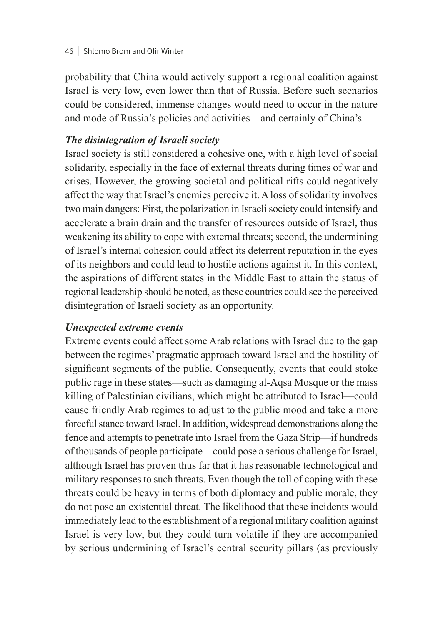#### 46 Shlomo Brom and Ofir Winter

probability that China would actively support a regional coalition against Israel is very low, even lower than that of Russia. Before such scenarios could be considered, immense changes would need to occur in the nature and mode of Russia's policies and activities—and certainly of China's.

# *The disintegration of Israeli society*

Israel society is still considered a cohesive one, with a high level of social solidarity, especially in the face of external threats during times of war and crises. However, the growing societal and political rifts could negatively affect the way that Israel's enemies perceive it. A loss of solidarity involves two main dangers: First, the polarization in Israeli society could intensify and accelerate a brain drain and the transfer of resources outside of Israel, thus weakening its ability to cope with external threats; second, the undermining of Israel's internal cohesion could affect its deterrent reputation in the eyes of its neighbors and could lead to hostile actions against it. In this context, the aspirations of different states in the Middle East to attain the status of regional leadership should be noted, as these countries could see the perceived disintegration of Israeli society as an opportunity.

### *Unexpected extreme events*

Extreme events could affect some Arab relations with Israel due to the gap between the regimes' pragmatic approach toward Israel and the hostility of significant segments of the public. Consequently, events that could stoke public rage in these states—such as damaging al-Aqsa Mosque or the mass killing of Palestinian civilians, which might be attributed to Israel—could cause friendly Arab regimes to adjust to the public mood and take a more forceful stance toward Israel. In addition, widespread demonstrations along the fence and attempts to penetrate into Israel from the Gaza Strip—if hundreds of thousands of people participate—could pose a serious challenge for Israel, although Israel has proven thus far that it has reasonable technological and military responses to such threats. Even though the toll of coping with these threats could be heavy in terms of both diplomacy and public morale, they do not pose an existential threat. The likelihood that these incidents would immediately lead to the establishment of a regional military coalition against Israel is very low, but they could turn volatile if they are accompanied by serious undermining of Israel's central security pillars (as previously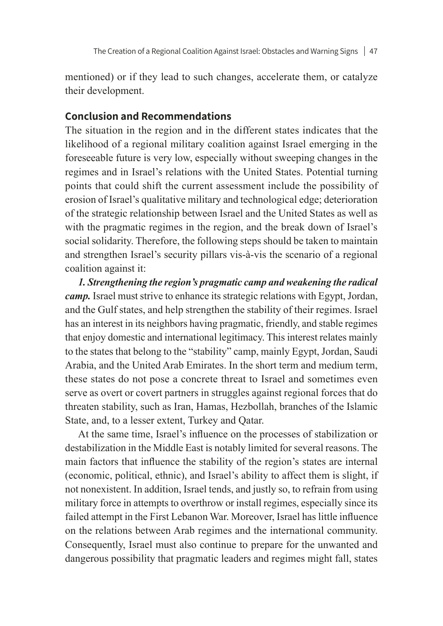mentioned) or if they lead to such changes, accelerate them, or catalyze their development.

### **Conclusion and Recommendations**

The situation in the region and in the different states indicates that the likelihood of a regional military coalition against Israel emerging in the foreseeable future is very low, especially without sweeping changes in the regimes and in Israel's relations with the United States. Potential turning points that could shift the current assessment include the possibility of erosion of Israel's qualitative military and technological edge; deterioration of the strategic relationship between Israel and the United States as well as with the pragmatic regimes in the region, and the break down of Israel's social solidarity. Therefore, the following steps should be taken to maintain and strengthen Israel's security pillars vis-à-vis the scenario of a regional coalition against it:

*1. Strengthening the region's pragmatic camp and weakening the radical camp.* Israel must strive to enhance its strategic relations with Egypt, Jordan, and the Gulf states, and help strengthen the stability of their regimes. Israel has an interest in its neighbors having pragmatic, friendly, and stable regimes that enjoy domestic and international legitimacy. This interest relates mainly to the states that belong to the "stability" camp, mainly Egypt, Jordan, Saudi Arabia, and the United Arab Emirates. In the short term and medium term, these states do not pose a concrete threat to Israel and sometimes even serve as overt or covert partners in struggles against regional forces that do threaten stability, such as Iran, Hamas, Hezbollah, branches of the Islamic State, and, to a lesser extent, Turkey and Qatar.

At the same time, Israel's influence on the processes of stabilization or destabilization in the Middle East is notably limited for several reasons. The main factors that influence the stability of the region's states are internal (economic, political, ethnic), and Israel's ability to affect them is slight, if not nonexistent. In addition, Israel tends, and justly so, to refrain from using military force in attempts to overthrow or install regimes, especially since its failed attempt in the First Lebanon War. Moreover, Israel has little influence on the relations between Arab regimes and the international community. Consequently, Israel must also continue to prepare for the unwanted and dangerous possibility that pragmatic leaders and regimes might fall, states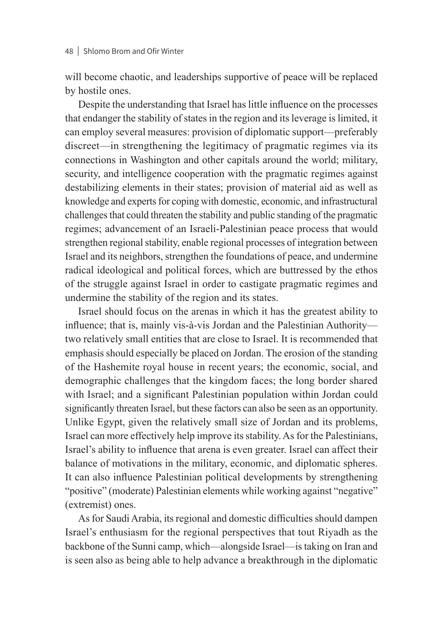will become chaotic, and leaderships supportive of peace will be replaced by hostile ones.

Despite the understanding that Israel has little influence on the processes that endanger the stability of states in the region and its leverage is limited, it can employ several measures: provision of diplomatic support—preferably discreet—in strengthening the legitimacy of pragmatic regimes via its connections in Washington and other capitals around the world; military, security, and intelligence cooperation with the pragmatic regimes against destabilizing elements in their states; provision of material aid as well as knowledge and experts for coping with domestic, economic, and infrastructural challenges that could threaten the stability and public standing of the pragmatic regimes; advancement of an Israeli-Palestinian peace process that would strengthen regional stability, enable regional processes of integration between Israel and its neighbors, strengthen the foundations of peace, and undermine radical ideological and political forces, which are buttressed by the ethos of the struggle against Israel in order to castigate pragmatic regimes and undermine the stability of the region and its states.

Israel should focus on the arenas in which it has the greatest ability to influence; that is, mainly vis-à-vis Jordan and the Palestinian Authority two relatively small entities that are close to Israel. It is recommended that emphasis should especially be placed on Jordan. The erosion of the standing of the Hashemite royal house in recent years; the economic, social, and demographic challenges that the kingdom faces; the long border shared with Israel; and a significant Palestinian population within Jordan could significantly threaten Israel, but these factors can also be seen as an opportunity. Unlike Egypt, given the relatively small size of Jordan and its problems, Israel can more effectively help improve its stability. As for the Palestinians, Israel's ability to influence that arena is even greater. Israel can affect their balance of motivations in the military, economic, and diplomatic spheres. It can also influence Palestinian political developments by strengthening "positive" (moderate) Palestinian elements while working against "negative" (extremist) ones.

As for Saudi Arabia, its regional and domestic difficulties should dampen Israel's enthusiasm for the regional perspectives that tout Riyadh as the backbone of the Sunni camp, which—alongside Israel—is taking on Iran and is seen also as being able to help advance a breakthrough in the diplomatic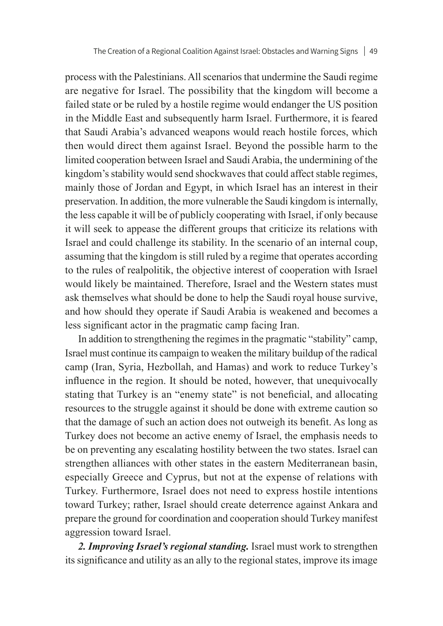process with the Palestinians. All scenarios that undermine the Saudi regime are negative for Israel. The possibility that the kingdom will become a failed state or be ruled by a hostile regime would endanger the US position in the Middle East and subsequently harm Israel. Furthermore, it is feared that Saudi Arabia's advanced weapons would reach hostile forces, which then would direct them against Israel. Beyond the possible harm to the limited cooperation between Israel and Saudi Arabia, the undermining of the kingdom's stability would send shockwaves that could affect stable regimes, mainly those of Jordan and Egypt, in which Israel has an interest in their preservation. In addition, the more vulnerable the Saudi kingdom is internally, the less capable it will be of publicly cooperating with Israel, if only because it will seek to appease the different groups that criticize its relations with Israel and could challenge its stability. In the scenario of an internal coup, assuming that the kingdom is still ruled by a regime that operates according to the rules of realpolitik, the objective interest of cooperation with Israel would likely be maintained. Therefore, Israel and the Western states must ask themselves what should be done to help the Saudi royal house survive, and how should they operate if Saudi Arabia is weakened and becomes a less significant actor in the pragmatic camp facing Iran.

In addition to strengthening the regimes in the pragmatic "stability" camp, Israel must continue its campaign to weaken the military buildup of the radical camp (Iran, Syria, Hezbollah, and Hamas) and work to reduce Turkey's influence in the region. It should be noted, however, that unequivocally stating that Turkey is an "enemy state" is not beneficial, and allocating resources to the struggle against it should be done with extreme caution so that the damage of such an action does not outweigh its benefit. As long as Turkey does not become an active enemy of Israel, the emphasis needs to be on preventing any escalating hostility between the two states. Israel can strengthen alliances with other states in the eastern Mediterranean basin, especially Greece and Cyprus, but not at the expense of relations with Turkey. Furthermore, Israel does not need to express hostile intentions toward Turkey; rather, Israel should create deterrence against Ankara and prepare the ground for coordination and cooperation should Turkey manifest aggression toward Israel.

*2. Improving Israel's regional standing.* Israel must work to strengthen its significance and utility as an ally to the regional states, improve its image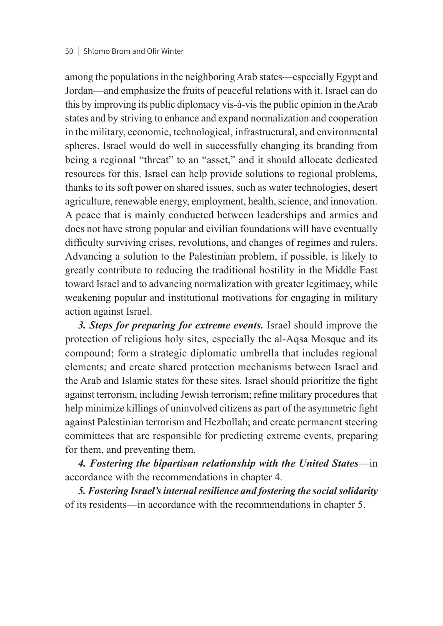#### 50 Shlomo Brom and Ofir Winter

among the populations in the neighboring Arab states—especially Egypt and Jordan—and emphasize the fruits of peaceful relations with it. Israel can do this by improving its public diplomacy vis-à-vis the public opinion in the Arab states and by striving to enhance and expand normalization and cooperation in the military, economic, technological, infrastructural, and environmental spheres. Israel would do well in successfully changing its branding from being a regional "threat" to an "asset," and it should allocate dedicated resources for this. Israel can help provide solutions to regional problems, thanks to its soft power on shared issues, such as water technologies, desert agriculture, renewable energy, employment, health, science, and innovation. A peace that is mainly conducted between leaderships and armies and does not have strong popular and civilian foundations will have eventually difficulty surviving crises, revolutions, and changes of regimes and rulers. Advancing a solution to the Palestinian problem, if possible, is likely to greatly contribute to reducing the traditional hostility in the Middle East toward Israel and to advancing normalization with greater legitimacy, while weakening popular and institutional motivations for engaging in military action against Israel.

*3. Steps for preparing for extreme events.* Israel should improve the protection of religious holy sites, especially the al-Aqsa Mosque and its compound; form a strategic diplomatic umbrella that includes regional elements; and create shared protection mechanisms between Israel and the Arab and Islamic states for these sites. Israel should prioritize the fight against terrorism, including Jewish terrorism; refine military procedures that help minimize killings of uninvolved citizens as part of the asymmetric fight against Palestinian terrorism and Hezbollah; and create permanent steering committees that are responsible for predicting extreme events, preparing for them, and preventing them.

*4. Fostering the bipartisan relationship with the United States*—in accordance with the recommendations in chapter 4.

*5. Fostering Israel's internal resilience and fostering the social solidarity*  of its residents—in accordance with the recommendations in chapter 5.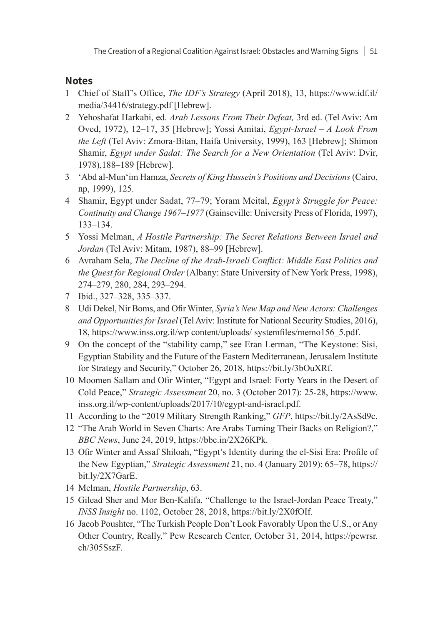#### **Notes**

- 1 Chief of Staff's Office, *The IDF's Strategy* (April 2018), 13, https://www.idf.il/ media/34416/strategy.pdf [Hebrew].
- 2 Yehoshafat Harkabi, ed. *Arab Lessons From Their Defeat,* 3rd ed. (Tel Aviv: Am Oved, 1972), 12–17, 35 [Hebrew]; Yossi Amitai, *Egypt-Israel – A Look From the Left* (Tel Aviv: Zmora-Bitan, Haifa University, 1999), 163 [Hebrew]; Shimon Shamir, *Egypt under Sadat: The Search for a New Orientation* (Tel Aviv: Dvir, 1978),188–189 [Hebrew].
- 3 'Abd al-Mun'im Hamza, *Secrets of King Hussein's Positions and Decisions* (Cairo, np, 1999), 125.
- 4 Shamir, Egypt under Sadat, 77–79; Yoram Meital, *Egypt's Struggle for Peace: Continuity and Change 1967–1977* (Gainseville: University Press of Florida, 1997), 133–134.
- 5 Yossi Melman, *A Hostile Partnership: The Secret Relations Between Israel and Jordan* (Tel Aviv: Mitam, 1987), 88–99 [Hebrew].
- 6 Avraham Sela, *The Decline of the Arab-Israeli Conflict: Middle East Politics and the Quest for Regional Order* (Albany: State University of New York Press, 1998), 274–279, 280, 284, 293–294.
- 7 Ibid., 327–328, 335–337.
- 8 Udi Dekel, Nir Boms, and Ofir Winter, *Syria's New Map and New Actors: Challenges and Opportunities for Israel* (Tel Aviv: Institute for National Security Studies, 2016), 18, [https://www.inss.org.il/wp](https://www.inss.org.il/wp content/uploads/ systemfiles/memo156_5.pdf) content/uploads/ systemfiles/memo156\_5.pdf.
- 9 On the concept of the "stability camp," see Eran Lerman, "The Keystone: Sisi, Egyptian Stability and the Future of the Eastern Mediterranean, Jerusalem Institute for Strategy and Security," October 26, 2018, https://bit.ly/3bOuXRf.
- 10 Moomen Sallam and Ofir Winter, "Egypt and Israel: Forty Years in the Desert of Cold Peace," *Strategic Assessment* 20, no. 3 (October 2017): 25-28, [https://www.](https://www.inss.org.il/wp-content/uploads/2017/10/egypt-and-israel.pdf) [inss.org.il/wp-content/uploads/2017/10/egypt-and-israel.pdf](https://www.inss.org.il/wp-content/uploads/2017/10/egypt-and-israel.pdf).
- 11 According to the "2019 Military Strength Ranking," *GFP*, [https://bit.ly/2AsSd9c.](https://bit.ly/2AsSd9c)
- 12 "The Arab World in Seven Charts: Are Arabs Turning Their Backs on Religion?," *BBC News*, June 24, 2019, <https://bbc.in/2X26KPk>.
- 13 Ofir Winter and Assaf Shiloah, "Egypt's Identity during the el-Sisi Era: Profile of the New Egyptian," *Strategic Assessment* 21, no. 4 (January 2019): 65–78, https:// bit.ly/2X7GarE.
- 14 Melman, *Hostile Partnership*, 63.
- 15 Gilead Sher and Mor Ben-Kalifa, "Challenge to the Israel-Jordan Peace Treaty," *INSS Insight* no. 1102, October 28, 2018, https://bit.ly/2X0fOIf.
- 16 Jacob Poushter, "The Turkish People Don't Look Favorably Upon the U.S., or Any Other Country, Really," Pew Research Center, October 31, 2014, [https://pewrsr.](https://pewrsr.ch/305SszF) [ch/305SszF.](https://pewrsr.ch/305SszF)